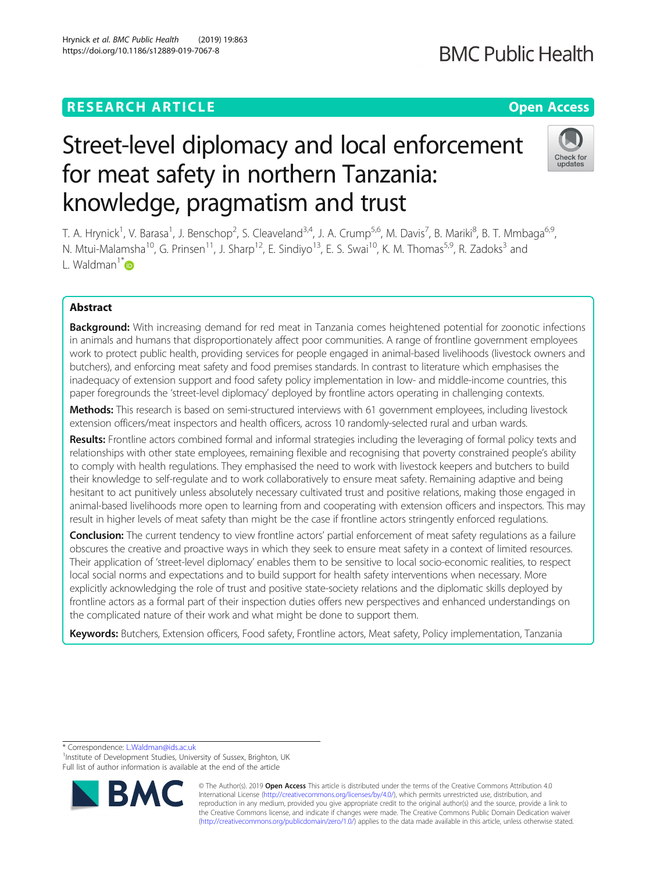# **RESEARCH ARTICLE Example 2018 12:30 THE Open Access**

# Street-level diplomacy and local enforcement for meat safety in northern Tanzania: knowledge, pragmatism and trust

T. A. Hrynick<sup>1</sup>, V. Barasa<sup>1</sup>, J. Benschop<sup>2</sup>, S. Cleaveland<sup>3,4</sup>, J. A. Crump<sup>5,6</sup>, M. Davis<sup>7</sup>, B. Mariki<sup>8</sup>, B. T. Mmbaga<sup>6,9</sup>, N. Mtui-Malamsha<sup>10</sup>, G. Prinsen<sup>11</sup>, J. Sharp<sup>12</sup>, E. Sindiyo<sup>13</sup>, E. S. Swai<sup>10</sup>, K. M. Thomas<sup>5,9</sup>, R. Zadoks<sup>3</sup> and L. Waldman<sup>1\*</sup>

# Abstract

**Background:** With increasing demand for red meat in Tanzania comes heightened potential for zoonotic infections in animals and humans that disproportionately affect poor communities. A range of frontline government employees work to protect public health, providing services for people engaged in animal-based livelihoods (livestock owners and butchers), and enforcing meat safety and food premises standards. In contrast to literature which emphasises the inadequacy of extension support and food safety policy implementation in low- and middle-income countries, this paper foregrounds the 'street-level diplomacy' deployed by frontline actors operating in challenging contexts.

Methods: This research is based on semi-structured interviews with 61 government employees, including livestock extension officers/meat inspectors and health officers, across 10 randomly-selected rural and urban wards.

Results: Frontline actors combined formal and informal strategies including the leveraging of formal policy texts and relationships with other state employees, remaining flexible and recognising that poverty constrained people's ability to comply with health regulations. They emphasised the need to work with livestock keepers and butchers to build their knowledge to self-regulate and to work collaboratively to ensure meat safety. Remaining adaptive and being hesitant to act punitively unless absolutely necessary cultivated trust and positive relations, making those engaged in animal-based livelihoods more open to learning from and cooperating with extension officers and inspectors. This may result in higher levels of meat safety than might be the case if frontline actors stringently enforced regulations.

Conclusion: The current tendency to view frontline actors' partial enforcement of meat safety regulations as a failure obscures the creative and proactive ways in which they seek to ensure meat safety in a context of limited resources. Their application of 'street-level diplomacy' enables them to be sensitive to local socio-economic realities, to respect local social norms and expectations and to build support for health safety interventions when necessary. More explicitly acknowledging the role of trust and positive state-society relations and the diplomatic skills deployed by frontline actors as a formal part of their inspection duties offers new perspectives and enhanced understandings on the complicated nature of their work and what might be done to support them.

Keywords: Butchers, Extension officers, Food safety, Frontline actors, Meat safety, Policy implementation, Tanzania

\* Correspondence: [L.Waldman@ids.ac.uk](mailto:L.Waldman@ids.ac.uk) <sup>1</sup>

© The Author(s). 2019 **Open Access** This article is distributed under the terms of the Creative Commons Attribution 4.0 International License [\(http://creativecommons.org/licenses/by/4.0/](http://creativecommons.org/licenses/by/4.0/)), which permits unrestricted use, distribution, and reproduction in any medium, provided you give appropriate credit to the original author(s) and the source, provide a link to the Creative Commons license, and indicate if changes were made. The Creative Commons Public Domain Dedication waiver [\(http://creativecommons.org/publicdomain/zero/1.0/](http://creativecommons.org/publicdomain/zero/1.0/)) applies to the data made available in this article, unless otherwise stated.

<sup>1</sup>Institute of Development Studies, University of Sussex, Brighton, UK Full list of author information is available at the end of the article



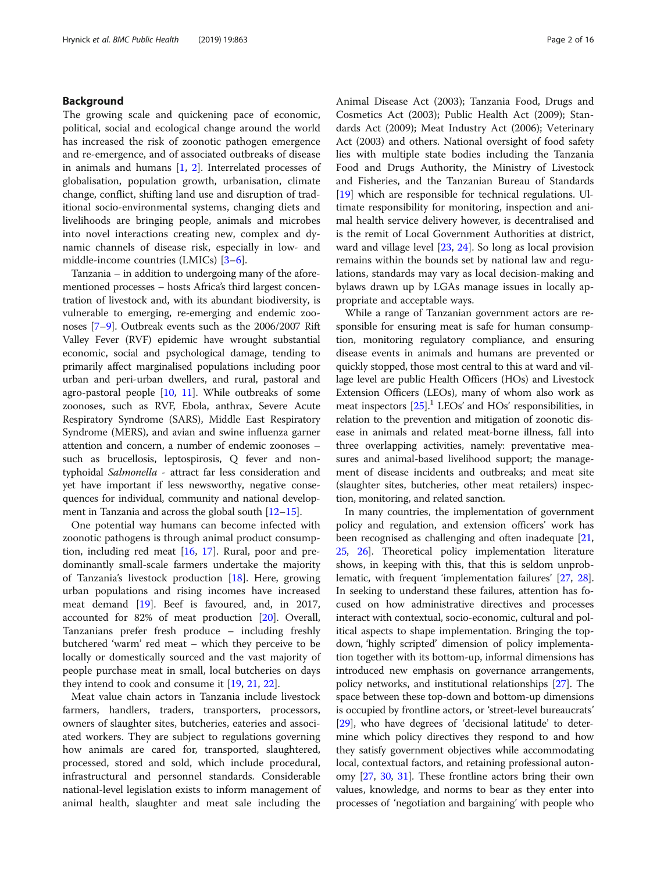# Background

The growing scale and quickening pace of economic, political, social and ecological change around the world has increased the risk of zoonotic pathogen emergence and re-emergence, and of associated outbreaks of disease in animals and humans [[1,](#page-14-0) [2\]](#page-14-0). Interrelated processes of globalisation, population growth, urbanisation, climate change, conflict, shifting land use and disruption of traditional socio-environmental systems, changing diets and livelihoods are bringing people, animals and microbes into novel interactions creating new, complex and dynamic channels of disease risk, especially in low- and middle-income countries (LMICs) [\[3](#page-14-0)–[6\]](#page-14-0).

Tanzania – in addition to undergoing many of the aforementioned processes – hosts Africa's third largest concentration of livestock and, with its abundant biodiversity, is vulnerable to emerging, re-emerging and endemic zoonoses [\[7](#page-14-0)–[9\]](#page-14-0). Outbreak events such as the 2006/2007 Rift Valley Fever (RVF) epidemic have wrought substantial economic, social and psychological damage, tending to primarily affect marginalised populations including poor urban and peri-urban dwellers, and rural, pastoral and agro-pastoral people [\[10,](#page-14-0) [11](#page-14-0)]. While outbreaks of some zoonoses, such as RVF, Ebola, anthrax, Severe Acute Respiratory Syndrome (SARS), Middle East Respiratory Syndrome (MERS), and avian and swine influenza garner attention and concern, a number of endemic zoonoses – such as brucellosis, leptospirosis, Q fever and nontyphoidal Salmonella - attract far less consideration and yet have important if less newsworthy, negative consequences for individual, community and national develop-ment in Tanzania and across the global south [[12](#page-14-0)–[15\]](#page-14-0).

One potential way humans can become infected with zoonotic pathogens is through animal product consumption, including red meat [[16,](#page-14-0) [17\]](#page-14-0). Rural, poor and predominantly small-scale farmers undertake the majority of Tanzania's livestock production [\[18\]](#page-14-0). Here, growing urban populations and rising incomes have increased meat demand [\[19](#page-14-0)]. Beef is favoured, and, in 2017, accounted for 82% of meat production [[20\]](#page-14-0). Overall, Tanzanians prefer fresh produce – including freshly butchered 'warm' red meat – which they perceive to be locally or domestically sourced and the vast majority of people purchase meat in small, local butcheries on days they intend to cook and consume it [\[19,](#page-14-0) [21,](#page-14-0) [22\]](#page-14-0).

Meat value chain actors in Tanzania include livestock farmers, handlers, traders, transporters, processors, owners of slaughter sites, butcheries, eateries and associated workers. They are subject to regulations governing how animals are cared for, transported, slaughtered, processed, stored and sold, which include procedural, infrastructural and personnel standards. Considerable national-level legislation exists to inform management of animal health, slaughter and meat sale including the Animal Disease Act (2003); Tanzania Food, Drugs and Cosmetics Act (2003); Public Health Act (2009); Standards Act (2009); Meat Industry Act (2006); Veterinary Act (2003) and others. National oversight of food safety lies with multiple state bodies including the Tanzania Food and Drugs Authority, the Ministry of Livestock and Fisheries, and the Tanzanian Bureau of Standards [[19\]](#page-14-0) which are responsible for technical regulations. Ultimate responsibility for monitoring, inspection and animal health service delivery however, is decentralised and is the remit of Local Government Authorities at district, ward and village level [[23](#page-14-0), [24\]](#page-14-0). So long as local provision remains within the bounds set by national law and regulations, standards may vary as local decision-making and bylaws drawn up by LGAs manage issues in locally appropriate and acceptable ways.

While a range of Tanzanian government actors are responsible for ensuring meat is safe for human consumption, monitoring regulatory compliance, and ensuring disease events in animals and humans are prevented or quickly stopped, those most central to this at ward and village level are public Health Officers (HOs) and Livestock Extension Officers (LEOs), many of whom also work as meat inspectors  $[25]$ <sup>1</sup>. LEOs' and HOs' responsibilities, in relation to the prevention and mitigation of zoonotic disease in animals and related meat-borne illness, fall into three overlapping activities, namely: preventative measures and animal-based livelihood support; the management of disease incidents and outbreaks; and meat site (slaughter sites, butcheries, other meat retailers) inspection, monitoring, and related sanction.

In many countries, the implementation of government policy and regulation, and extension officers' work has been recognised as challenging and often inadequate [[21](#page-14-0), [25](#page-14-0), [26\]](#page-14-0). Theoretical policy implementation literature shows, in keeping with this, that this is seldom unproblematic, with frequent 'implementation failures' [[27](#page-14-0), [28](#page-14-0)]. In seeking to understand these failures, attention has focused on how administrative directives and processes interact with contextual, socio-economic, cultural and political aspects to shape implementation. Bringing the topdown, 'highly scripted' dimension of policy implementation together with its bottom-up, informal dimensions has introduced new emphasis on governance arrangements, policy networks, and institutional relationships [[27\]](#page-14-0). The space between these top-down and bottom-up dimensions is occupied by frontline actors, or 'street-level bureaucrats' [[29](#page-14-0)], who have degrees of 'decisional latitude' to determine which policy directives they respond to and how they satisfy government objectives while accommodating local, contextual factors, and retaining professional autonomy [\[27,](#page-14-0) [30,](#page-14-0) [31](#page-14-0)]. These frontline actors bring their own values, knowledge, and norms to bear as they enter into processes of 'negotiation and bargaining' with people who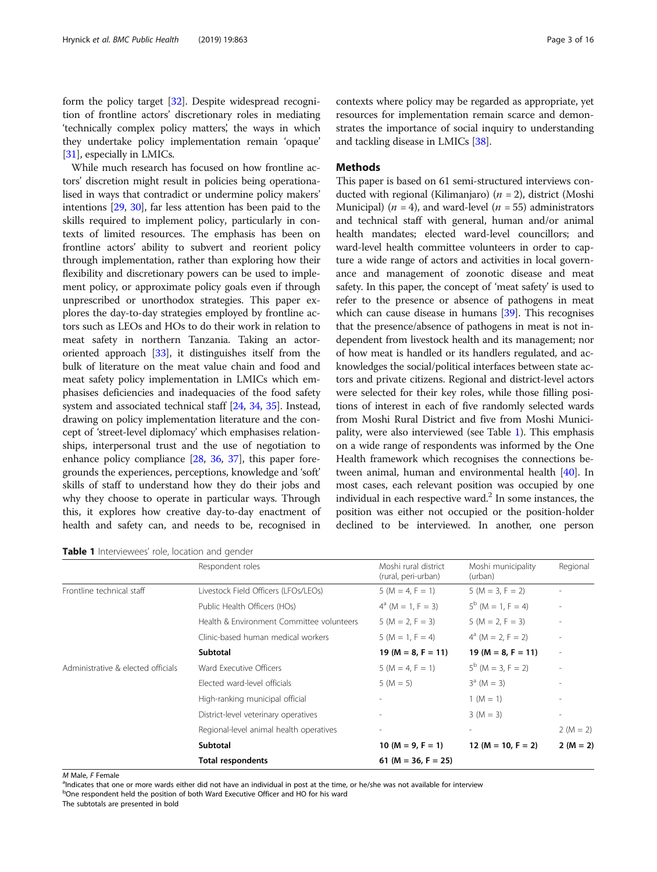form the policy target [\[32\]](#page-14-0). Despite widespread recognition of frontline actors' discretionary roles in mediating 'technically complex policy matters', the ways in which they undertake policy implementation remain 'opaque' [[31](#page-14-0)], especially in LMICs.

While much research has focused on how frontline actors' discretion might result in policies being operationalised in ways that contradict or undermine policy makers' intentions [\[29,](#page-14-0) [30\]](#page-14-0), far less attention has been paid to the skills required to implement policy, particularly in contexts of limited resources. The emphasis has been on frontline actors' ability to subvert and reorient policy through implementation, rather than exploring how their flexibility and discretionary powers can be used to implement policy, or approximate policy goals even if through unprescribed or unorthodox strategies. This paper explores the day-to-day strategies employed by frontline actors such as LEOs and HOs to do their work in relation to meat safety in northern Tanzania. Taking an actororiented approach [[33](#page-14-0)], it distinguishes itself from the bulk of literature on the meat value chain and food and meat safety policy implementation in LMICs which emphasises deficiencies and inadequacies of the food safety system and associated technical staff [\[24,](#page-14-0) [34,](#page-14-0) [35\]](#page-14-0). Instead, drawing on policy implementation literature and the concept of 'street-level diplomacy' which emphasises relationships, interpersonal trust and the use of negotiation to enhance policy compliance [\[28,](#page-14-0) [36,](#page-14-0) [37\]](#page-14-0), this paper foregrounds the experiences, perceptions, knowledge and 'soft' skills of staff to understand how they do their jobs and why they choose to operate in particular ways. Through this, it explores how creative day-to-day enactment of health and safety can, and needs to be, recognised in

Table 1 Interviewees' role, location and gender

contexts where policy may be regarded as appropriate, yet resources for implementation remain scarce and demonstrates the importance of social inquiry to understanding and tackling disease in LMICs [\[38\]](#page-14-0).

# **Methods**

This paper is based on 61 semi-structured interviews conducted with regional (Kilimanjaro) ( $n = 2$ ), district (Moshi Municipal) ( $n = 4$ ), and ward-level ( $n = 55$ ) administrators and technical staff with general, human and/or animal health mandates; elected ward-level councillors; and ward-level health committee volunteers in order to capture a wide range of actors and activities in local governance and management of zoonotic disease and meat safety. In this paper, the concept of 'meat safety' is used to refer to the presence or absence of pathogens in meat which can cause disease in humans [\[39\]](#page-14-0). This recognises that the presence/absence of pathogens in meat is not independent from livestock health and its management; nor of how meat is handled or its handlers regulated, and acknowledges the social/political interfaces between state actors and private citizens. Regional and district-level actors were selected for their key roles, while those filling positions of interest in each of five randomly selected wards from Moshi Rural District and five from Moshi Municipality, were also interviewed (see Table 1). This emphasis on a wide range of respondents was informed by the One Health framework which recognises the connections between animal, human and environmental health [\[40\]](#page-14-0). In most cases, each relevant position was occupied by one individual in each respective ward. $<sup>2</sup>$  In some instances, the</sup> position was either not occupied or the position-holder declined to be interviewed. In another, one person

|                                    | Respondent roles                          | Moshi rural district     | Moshi municipality    | Regional                 |
|------------------------------------|-------------------------------------------|--------------------------|-----------------------|--------------------------|
|                                    |                                           | (rural, peri-urban)      | (urban)               |                          |
| Frontline technical staff          | Livestock Field Officers (LFOs/LEOs)      | $5 (M = 4, F = 1)$       | $5 (M = 3, F = 2)$    |                          |
|                                    | Public Health Officers (HOs)              | $4^a$ (M = 1, F = 3)     | $5^b$ (M = 1, F = 4)  | $\overline{\phantom{a}}$ |
|                                    | Health & Environment Committee volunteers | $5 (M = 2, F = 3)$       | $5 (M = 2, F = 3)$    |                          |
|                                    | Clinic-based human medical workers        | $5 (M = 1, F = 4)$       | $4^a$ (M = 2, F = 2)  | $\overline{\phantom{a}}$ |
|                                    | Subtotal                                  | 19 (M = 8, F = 11)       | 19 (M = $8, F = 11$ ) | $\overline{\phantom{a}}$ |
| Administrative & elected officials | Ward Executive Officers                   | $5 (M = 4, F = 1)$       | $5^b$ (M = 3, F = 2)  | $\overline{\phantom{a}}$ |
|                                    | Elected ward-level officials              | $5 (M = 5)$              | $3^a$ (M = 3)         |                          |
|                                    | High-ranking municipal official           |                          | $1 (M = 1)$           |                          |
|                                    | District-level veterinary operatives      |                          | $3 (M = 3)$           | $\overline{\phantom{a}}$ |
|                                    | Regional-level animal health operatives   | $\overline{\phantom{a}}$ | $\sim$                | $2 (M = 2)$              |
|                                    | Subtotal                                  | $10 (M = 9, F = 1)$      | 12 (M = 10, F = 2)    | $2 (M = 2)$              |
|                                    | <b>Total respondents</b>                  | 61 (M = 36, F = 25)      |                       |                          |

 $M$  Male,  $F$  Female

<sup>a</sup>Indicates that one or more wards either did not have an individual in post at the time, or he/she was not available for interview **b**One respondent held the position of both Ward Executive Officer and HO for his ward

The subtotals are presented in bold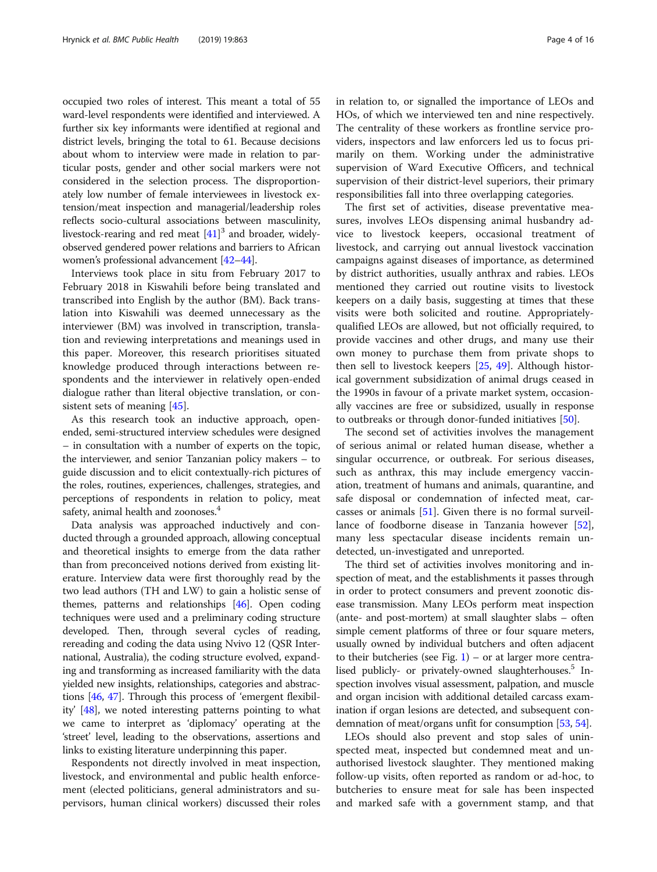occupied two roles of interest. This meant a total of 55 ward-level respondents were identified and interviewed. A further six key informants were identified at regional and district levels, bringing the total to 61. Because decisions about whom to interview were made in relation to particular posts, gender and other social markers were not considered in the selection process. The disproportionately low number of female interviewees in livestock extension/meat inspection and managerial/leadership roles reflects socio-cultural associations between masculinity, livestock-rearing and red meat [[41](#page-14-0)]<sup>3</sup> and broader, widelyobserved gendered power relations and barriers to African women's professional advancement [[42](#page-14-0)–[44\]](#page-14-0).

Interviews took place in situ from February 2017 to February 2018 in Kiswahili before being translated and transcribed into English by the author (BM). Back translation into Kiswahili was deemed unnecessary as the interviewer (BM) was involved in transcription, translation and reviewing interpretations and meanings used in this paper. Moreover, this research prioritises situated knowledge produced through interactions between respondents and the interviewer in relatively open-ended dialogue rather than literal objective translation, or con-sistent sets of meaning [\[45](#page-14-0)].

As this research took an inductive approach, openended, semi-structured interview schedules were designed – in consultation with a number of experts on the topic, the interviewer, and senior Tanzanian policy makers – to guide discussion and to elicit contextually-rich pictures of the roles, routines, experiences, challenges, strategies, and perceptions of respondents in relation to policy, meat safety, animal health and zoonoses.<sup>4</sup>

Data analysis was approached inductively and conducted through a grounded approach, allowing conceptual and theoretical insights to emerge from the data rather than from preconceived notions derived from existing literature. Interview data were first thoroughly read by the two lead authors (TH and LW) to gain a holistic sense of themes, patterns and relationships [[46\]](#page-15-0). Open coding techniques were used and a preliminary coding structure developed. Then, through several cycles of reading, rereading and coding the data using Nvivo 12 (QSR International, Australia), the coding structure evolved, expanding and transforming as increased familiarity with the data yielded new insights, relationships, categories and abstractions [[46](#page-15-0), [47](#page-15-0)]. Through this process of 'emergent flexibility' [[48](#page-15-0)], we noted interesting patterns pointing to what we came to interpret as 'diplomacy' operating at the 'street' level, leading to the observations, assertions and links to existing literature underpinning this paper.

Respondents not directly involved in meat inspection, livestock, and environmental and public health enforcement (elected politicians, general administrators and supervisors, human clinical workers) discussed their roles in relation to, or signalled the importance of LEOs and HOs, of which we interviewed ten and nine respectively. The centrality of these workers as frontline service providers, inspectors and law enforcers led us to focus primarily on them. Working under the administrative supervision of Ward Executive Officers, and technical supervision of their district-level superiors, their primary responsibilities fall into three overlapping categories.

The first set of activities, disease preventative measures, involves LEOs dispensing animal husbandry advice to livestock keepers, occasional treatment of livestock, and carrying out annual livestock vaccination campaigns against diseases of importance, as determined by district authorities, usually anthrax and rabies. LEOs mentioned they carried out routine visits to livestock keepers on a daily basis, suggesting at times that these visits were both solicited and routine. Appropriatelyqualified LEOs are allowed, but not officially required, to provide vaccines and other drugs, and many use their own money to purchase them from private shops to then sell to livestock keepers [[25,](#page-14-0) [49\]](#page-15-0). Although historical government subsidization of animal drugs ceased in the 1990s in favour of a private market system, occasionally vaccines are free or subsidized, usually in response to outbreaks or through donor-funded initiatives [[50](#page-15-0)].

The second set of activities involves the management of serious animal or related human disease, whether a singular occurrence, or outbreak. For serious diseases, such as anthrax, this may include emergency vaccination, treatment of humans and animals, quarantine, and safe disposal or condemnation of infected meat, carcasses or animals [\[51\]](#page-15-0). Given there is no formal surveillance of foodborne disease in Tanzania however [\[52](#page-15-0)], many less spectacular disease incidents remain undetected, un-investigated and unreported.

The third set of activities involves monitoring and inspection of meat, and the establishments it passes through in order to protect consumers and prevent zoonotic disease transmission. Many LEOs perform meat inspection (ante- and post-mortem) at small slaughter slabs – often simple cement platforms of three or four square meters, usually owned by individual butchers and often adjacent to their butcheries (see Fig.  $1$ ) – or at larger more centralised publicly- or privately-owned slaughterhouses.<sup>5</sup> Inspection involves visual assessment, palpation, and muscle and organ incision with additional detailed carcass examination if organ lesions are detected, and subsequent condemnation of meat/organs unfit for consumption [\[53,](#page-15-0) [54](#page-15-0)].

LEOs should also prevent and stop sales of uninspected meat, inspected but condemned meat and unauthorised livestock slaughter. They mentioned making follow-up visits, often reported as random or ad-hoc, to butcheries to ensure meat for sale has been inspected and marked safe with a government stamp, and that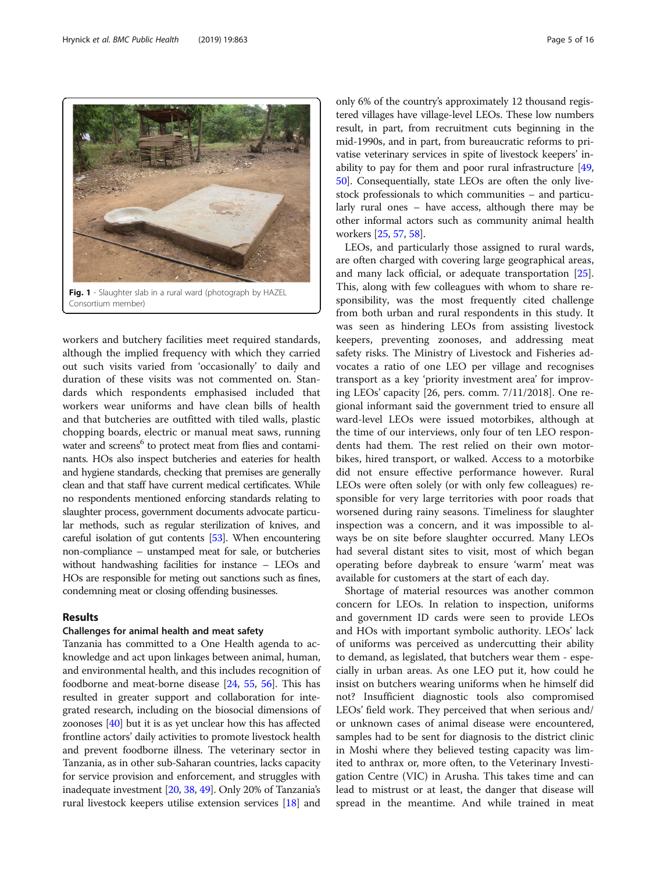<span id="page-4-0"></span>

workers and butchery facilities meet required standards, although the implied frequency with which they carried out such visits varied from 'occasionally' to daily and duration of these visits was not commented on. Standards which respondents emphasised included that workers wear uniforms and have clean bills of health and that butcheries are outfitted with tiled walls, plastic chopping boards, electric or manual meat saws, running water and screens<sup>6</sup> to protect meat from flies and contaminants. HOs also inspect butcheries and eateries for health and hygiene standards, checking that premises are generally clean and that staff have current medical certificates. While no respondents mentioned enforcing standards relating to slaughter process, government documents advocate particular methods, such as regular sterilization of knives, and careful isolation of gut contents [\[53\]](#page-15-0). When encountering non-compliance – unstamped meat for sale, or butcheries without handwashing facilities for instance – LEOs and HOs are responsible for meting out sanctions such as fines, condemning meat or closing offending businesses.

# Results

# Challenges for animal health and meat safety

Tanzania has committed to a One Health agenda to acknowledge and act upon linkages between animal, human, and environmental health, and this includes recognition of foodborne and meat-borne disease [[24](#page-14-0), [55,](#page-15-0) [56](#page-15-0)]. This has resulted in greater support and collaboration for integrated research, including on the biosocial dimensions of zoonoses [\[40\]](#page-14-0) but it is as yet unclear how this has affected frontline actors' daily activities to promote livestock health and prevent foodborne illness. The veterinary sector in Tanzania, as in other sub-Saharan countries, lacks capacity for service provision and enforcement, and struggles with inadequate investment [[20](#page-14-0), [38](#page-14-0), [49\]](#page-15-0). Only 20% of Tanzania's rural livestock keepers utilise extension services [\[18\]](#page-14-0) and

only 6% of the country's approximately 12 thousand registered villages have village-level LEOs. These low numbers result, in part, from recruitment cuts beginning in the mid-1990s, and in part, from bureaucratic reforms to privatise veterinary services in spite of livestock keepers' inability to pay for them and poor rural infrastructure [[49](#page-15-0), [50](#page-15-0)]. Consequentially, state LEOs are often the only livestock professionals to which communities – and particularly rural ones – have access, although there may be other informal actors such as community animal health workers [\[25,](#page-14-0) [57](#page-15-0), [58\]](#page-15-0).

LEOs, and particularly those assigned to rural wards, are often charged with covering large geographical areas, and many lack official, or adequate transportation [\[25](#page-14-0)]. This, along with few colleagues with whom to share responsibility, was the most frequently cited challenge from both urban and rural respondents in this study. It was seen as hindering LEOs from assisting livestock keepers, preventing zoonoses, and addressing meat safety risks. The Ministry of Livestock and Fisheries advocates a ratio of one LEO per village and recognises transport as a key 'priority investment area' for improving LEOs' capacity [26, pers. comm. 7/11/2018]. One regional informant said the government tried to ensure all ward-level LEOs were issued motorbikes, although at the time of our interviews, only four of ten LEO respondents had them. The rest relied on their own motorbikes, hired transport, or walked. Access to a motorbike did not ensure effective performance however. Rural LEOs were often solely (or with only few colleagues) responsible for very large territories with poor roads that worsened during rainy seasons. Timeliness for slaughter inspection was a concern, and it was impossible to always be on site before slaughter occurred. Many LEOs had several distant sites to visit, most of which began operating before daybreak to ensure 'warm' meat was available for customers at the start of each day.

Shortage of material resources was another common concern for LEOs. In relation to inspection, uniforms and government ID cards were seen to provide LEOs and HOs with important symbolic authority. LEOs' lack of uniforms was perceived as undercutting their ability to demand, as legislated, that butchers wear them - especially in urban areas. As one LEO put it, how could he insist on butchers wearing uniforms when he himself did not? Insufficient diagnostic tools also compromised LEOs' field work. They perceived that when serious and/ or unknown cases of animal disease were encountered, samples had to be sent for diagnosis to the district clinic in Moshi where they believed testing capacity was limited to anthrax or, more often, to the Veterinary Investigation Centre (VIC) in Arusha. This takes time and can lead to mistrust or at least, the danger that disease will spread in the meantime. And while trained in meat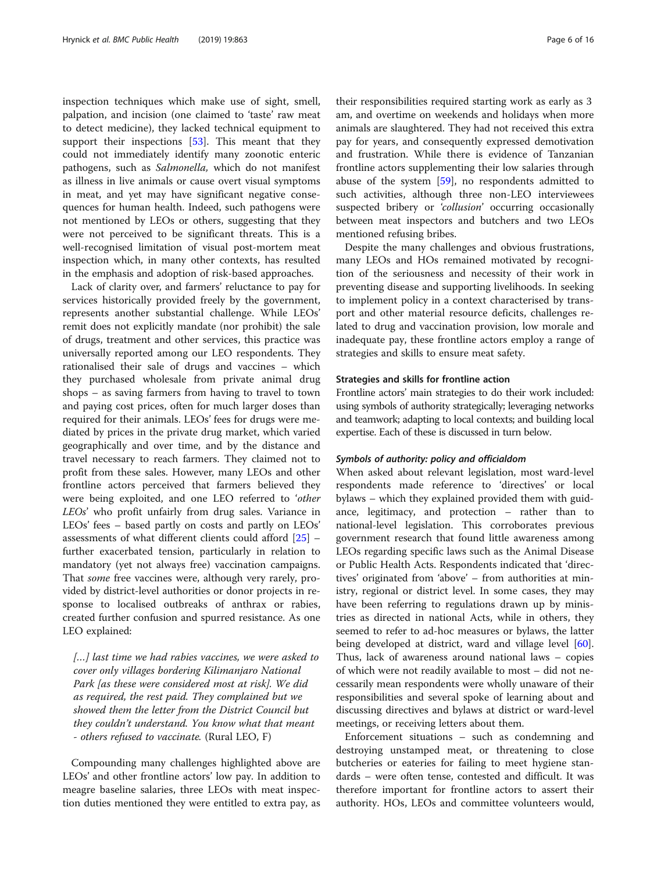inspection techniques which make use of sight, smell, palpation, and incision (one claimed to 'taste' raw meat to detect medicine), they lacked technical equipment to support their inspections [\[53](#page-15-0)]. This meant that they could not immediately identify many zoonotic enteric pathogens, such as Salmonella, which do not manifest as illness in live animals or cause overt visual symptoms in meat, and yet may have significant negative consequences for human health. Indeed, such pathogens were not mentioned by LEOs or others, suggesting that they were not perceived to be significant threats. This is a well-recognised limitation of visual post-mortem meat inspection which, in many other contexts, has resulted in the emphasis and adoption of risk-based approaches.

Lack of clarity over, and farmers' reluctance to pay for services historically provided freely by the government, represents another substantial challenge. While LEOs' remit does not explicitly mandate (nor prohibit) the sale of drugs, treatment and other services, this practice was universally reported among our LEO respondents. They rationalised their sale of drugs and vaccines – which they purchased wholesale from private animal drug shops – as saving farmers from having to travel to town and paying cost prices, often for much larger doses than required for their animals. LEOs' fees for drugs were mediated by prices in the private drug market, which varied geographically and over time, and by the distance and travel necessary to reach farmers. They claimed not to profit from these sales. However, many LEOs and other frontline actors perceived that farmers believed they were being exploited, and one LEO referred to 'other LEOs' who profit unfairly from drug sales. Variance in LEOs' fees – based partly on costs and partly on LEOs' assessments of what different clients could afford [\[25](#page-14-0)] – further exacerbated tension, particularly in relation to mandatory (yet not always free) vaccination campaigns. That some free vaccines were, although very rarely, provided by district-level authorities or donor projects in response to localised outbreaks of anthrax or rabies, created further confusion and spurred resistance. As one LEO explained:

[...] last time we had rabies vaccines, we were asked to cover only villages bordering Kilimanjaro National Park [as these were considered most at risk]. We did as required, the rest paid. They complained but we showed them the letter from the District Council but they couldn't understand. You know what that meant - others refused to vaccinate. (Rural LEO, F)

Compounding many challenges highlighted above are LEOs' and other frontline actors' low pay. In addition to meagre baseline salaries, three LEOs with meat inspection duties mentioned they were entitled to extra pay, as

their responsibilities required starting work as early as 3 am, and overtime on weekends and holidays when more animals are slaughtered. They had not received this extra pay for years, and consequently expressed demotivation and frustration. While there is evidence of Tanzanian frontline actors supplementing their low salaries through abuse of the system [\[59\]](#page-15-0), no respondents admitted to such activities, although three non-LEO interviewees suspected bribery or 'collusion' occurring occasionally between meat inspectors and butchers and two LEOs mentioned refusing bribes.

Despite the many challenges and obvious frustrations, many LEOs and HOs remained motivated by recognition of the seriousness and necessity of their work in preventing disease and supporting livelihoods. In seeking to implement policy in a context characterised by transport and other material resource deficits, challenges related to drug and vaccination provision, low morale and inadequate pay, these frontline actors employ a range of strategies and skills to ensure meat safety.

# Strategies and skills for frontline action

Frontline actors' main strategies to do their work included: using symbols of authority strategically; leveraging networks and teamwork; adapting to local contexts; and building local expertise. Each of these is discussed in turn below.

# Symbols of authority: policy and officialdom

When asked about relevant legislation, most ward-level respondents made reference to 'directives' or local bylaws – which they explained provided them with guidance, legitimacy, and protection – rather than to national-level legislation. This corroborates previous government research that found little awareness among LEOs regarding specific laws such as the Animal Disease or Public Health Acts. Respondents indicated that 'directives' originated from 'above' – from authorities at ministry, regional or district level. In some cases, they may have been referring to regulations drawn up by ministries as directed in national Acts, while in others, they seemed to refer to ad-hoc measures or bylaws, the latter being developed at district, ward and village level [\[60](#page-15-0)]. Thus, lack of awareness around national laws – copies of which were not readily available to most – did not necessarily mean respondents were wholly unaware of their responsibilities and several spoke of learning about and discussing directives and bylaws at district or ward-level meetings, or receiving letters about them.

Enforcement situations – such as condemning and destroying unstamped meat, or threatening to close butcheries or eateries for failing to meet hygiene standards – were often tense, contested and difficult. It was therefore important for frontline actors to assert their authority. HOs, LEOs and committee volunteers would,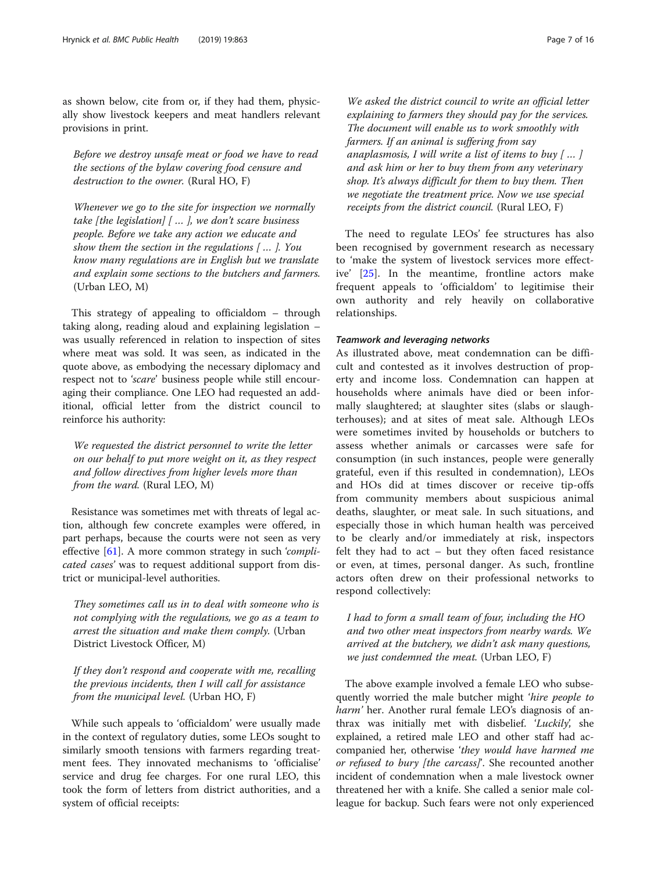as shown below, cite from or, if they had them, physically show livestock keepers and meat handlers relevant provisions in print.

Before we destroy unsafe meat or food we have to read the sections of the bylaw covering food censure and destruction to the owner. (Rural HO, F)

Whenever we go to the site for inspection we normally take [the legislation]  $[$  ... ], we don't scare business people. Before we take any action we educate and show them the section in the regulations  $[$  ...  $]$ . You know many regulations are in English but we translate and explain some sections to the butchers and farmers. (Urban LEO, M)

This strategy of appealing to officialdom – through taking along, reading aloud and explaining legislation – was usually referenced in relation to inspection of sites where meat was sold. It was seen, as indicated in the quote above, as embodying the necessary diplomacy and respect not to 'scare' business people while still encouraging their compliance. One LEO had requested an additional, official letter from the district council to reinforce his authority:

We requested the district personnel to write the letter on our behalf to put more weight on it, as they respect and follow directives from higher levels more than from the ward. (Rural LEO, M)

Resistance was sometimes met with threats of legal action, although few concrete examples were offered, in part perhaps, because the courts were not seen as very effective [[61\]](#page-15-0). A more common strategy in such 'complicated cases' was to request additional support from district or municipal-level authorities.

They sometimes call us in to deal with someone who is not complying with the regulations, we go as a team to arrest the situation and make them comply. (Urban District Livestock Officer, M)

If they don't respond and cooperate with me, recalling the previous incidents, then I will call for assistance from the municipal level. (Urban HO, F)

While such appeals to 'officialdom' were usually made in the context of regulatory duties, some LEOs sought to similarly smooth tensions with farmers regarding treatment fees. They innovated mechanisms to 'officialise' service and drug fee charges. For one rural LEO, this took the form of letters from district authorities, and a system of official receipts:

We asked the district council to write an official letter explaining to farmers they should pay for the services. The document will enable us to work smoothly with farmers. If an animal is suffering from say anaplasmosis, I will write a list of items to buy  $[$  ...  $]$ and ask him or her to buy them from any veterinary shop. It's always difficult for them to buy them. Then we negotiate the treatment price. Now we use special receipts from the district council. (Rural LEO, F)

The need to regulate LEOs' fee structures has also been recognised by government research as necessary to 'make the system of livestock services more effective' [\[25](#page-14-0)]. In the meantime, frontline actors make frequent appeals to 'officialdom' to legitimise their own authority and rely heavily on collaborative relationships.

# Teamwork and leveraging networks

As illustrated above, meat condemnation can be difficult and contested as it involves destruction of property and income loss. Condemnation can happen at households where animals have died or been informally slaughtered; at slaughter sites (slabs or slaughterhouses); and at sites of meat sale. Although LEOs were sometimes invited by households or butchers to assess whether animals or carcasses were safe for consumption (in such instances, people were generally grateful, even if this resulted in condemnation), LEOs and HOs did at times discover or receive tip-offs from community members about suspicious animal deaths, slaughter, or meat sale. In such situations, and especially those in which human health was perceived to be clearly and/or immediately at risk, inspectors felt they had to act – but they often faced resistance or even, at times, personal danger. As such, frontline actors often drew on their professional networks to respond collectively:

I had to form a small team of four, including the HO and two other meat inspectors from nearby wards. We arrived at the butchery, we didn't ask many questions, we just condemned the meat. (Urban LEO, F)

The above example involved a female LEO who subsequently worried the male butcher might 'hire people to harm' her. Another rural female LEO's diagnosis of anthrax was initially met with disbelief. 'Luckily', she explained, a retired male LEO and other staff had accompanied her, otherwise 'they would have harmed me or refused to bury [the carcass]'. She recounted another incident of condemnation when a male livestock owner threatened her with a knife. She called a senior male colleague for backup. Such fears were not only experienced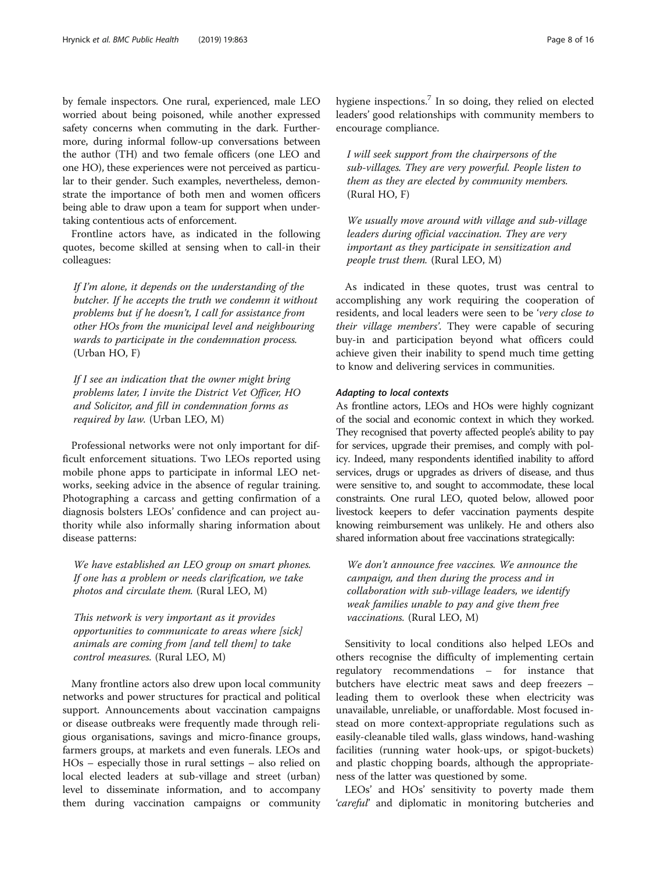by female inspectors. One rural, experienced, male LEO worried about being poisoned, while another expressed safety concerns when commuting in the dark. Furthermore, during informal follow-up conversations between the author (TH) and two female officers (one LEO and one HO), these experiences were not perceived as particular to their gender. Such examples, nevertheless, demonstrate the importance of both men and women officers being able to draw upon a team for support when undertaking contentious acts of enforcement.

Frontline actors have, as indicated in the following quotes, become skilled at sensing when to call-in their colleagues:

If I'm alone, it depends on the understanding of the butcher. If he accepts the truth we condemn it without problems but if he doesn't, I call for assistance from other HOs from the municipal level and neighbouring wards to participate in the condemnation process. (Urban HO, F)

If I see an indication that the owner might bring problems later, I invite the District Vet Officer, HO and Solicitor, and fill in condemnation forms as required by law. (Urban LEO, M)

Professional networks were not only important for difficult enforcement situations. Two LEOs reported using mobile phone apps to participate in informal LEO networks, seeking advice in the absence of regular training. Photographing a carcass and getting confirmation of a diagnosis bolsters LEOs' confidence and can project authority while also informally sharing information about disease patterns:

We have established an LEO group on smart phones. If one has a problem or needs clarification, we take photos and circulate them. (Rural LEO, M)

This network is very important as it provides opportunities to communicate to areas where [sick] animals are coming from [and tell them] to take control measures. (Rural LEO, M)

Many frontline actors also drew upon local community networks and power structures for practical and political support. Announcements about vaccination campaigns or disease outbreaks were frequently made through religious organisations, savings and micro-finance groups, farmers groups, at markets and even funerals. LEOs and HOs – especially those in rural settings – also relied on local elected leaders at sub-village and street (urban) level to disseminate information, and to accompany them during vaccination campaigns or community hygiene inspections.<sup>7</sup> In so doing, they relied on elected leaders' good relationships with community members to encourage compliance.

I will seek support from the chairpersons of the sub-villages. They are very powerful. People listen to them as they are elected by community members. (Rural HO, F)

We usually move around with village and sub-village leaders during official vaccination. They are very important as they participate in sensitization and people trust them. (Rural LEO, M)

As indicated in these quotes, trust was central to accomplishing any work requiring the cooperation of residents, and local leaders were seen to be 'very close to their village members'. They were capable of securing buy-in and participation beyond what officers could achieve given their inability to spend much time getting to know and delivering services in communities.

# Adapting to local contexts

As frontline actors, LEOs and HOs were highly cognizant of the social and economic context in which they worked. They recognised that poverty affected people's ability to pay for services, upgrade their premises, and comply with policy. Indeed, many respondents identified inability to afford services, drugs or upgrades as drivers of disease, and thus were sensitive to, and sought to accommodate, these local constraints. One rural LEO, quoted below, allowed poor livestock keepers to defer vaccination payments despite knowing reimbursement was unlikely. He and others also shared information about free vaccinations strategically:

We don't announce free vaccines. We announce the campaign, and then during the process and in collaboration with sub-village leaders, we identify weak families unable to pay and give them free vaccinations. (Rural LEO, M)

Sensitivity to local conditions also helped LEOs and others recognise the difficulty of implementing certain regulatory recommendations – for instance that butchers have electric meat saws and deep freezers – leading them to overlook these when electricity was unavailable, unreliable, or unaffordable. Most focused instead on more context-appropriate regulations such as easily-cleanable tiled walls, glass windows, hand-washing facilities (running water hook-ups, or spigot-buckets) and plastic chopping boards, although the appropriateness of the latter was questioned by some.

LEOs' and HOs' sensitivity to poverty made them 'careful' and diplomatic in monitoring butcheries and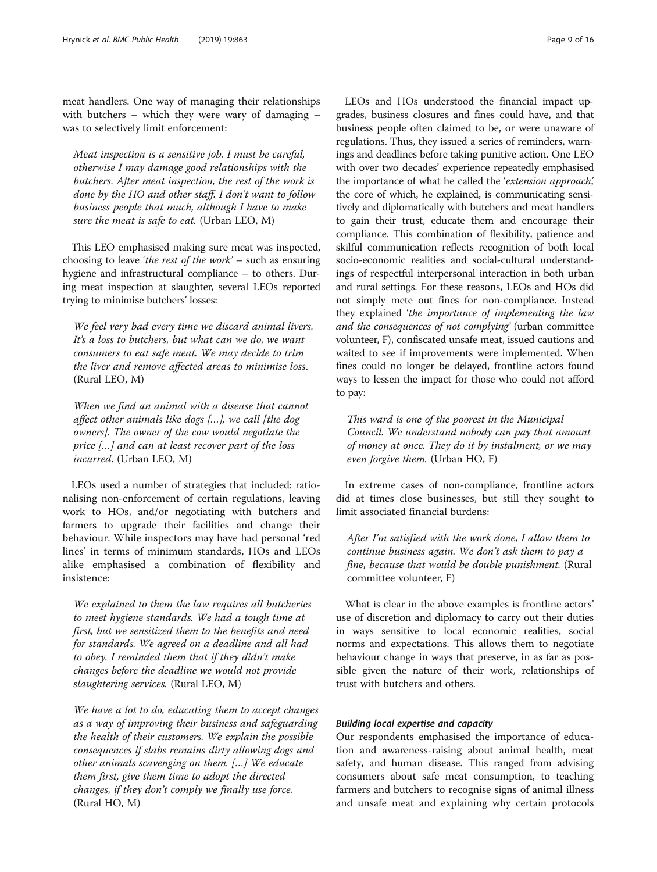meat handlers. One way of managing their relationships with butchers – which they were wary of damaging – was to selectively limit enforcement:

Meat inspection is a sensitive job. I must be careful, otherwise I may damage good relationships with the butchers. After meat inspection, the rest of the work is done by the HO and other staff. I don't want to follow business people that much, although I have to make sure the meat is safe to eat. (Urban LEO, M)

This LEO emphasised making sure meat was inspected, choosing to leave 'the rest of the work' – such as ensuring hygiene and infrastructural compliance – to others. During meat inspection at slaughter, several LEOs reported trying to minimise butchers' losses:

We feel very bad every time we discard animal livers. It's a loss to butchers, but what can we do, we want consumers to eat safe meat. We may decide to trim the liver and remove affected areas to minimise loss. (Rural LEO, M)

When we find an animal with a disease that cannot affect other animals like dogs […], we call [the dog owners]. The owner of the cow would negotiate the price […] and can at least recover part of the loss incurred. (Urban LEO, M)

LEOs used a number of strategies that included: rationalising non-enforcement of certain regulations, leaving work to HOs, and/or negotiating with butchers and farmers to upgrade their facilities and change their behaviour. While inspectors may have had personal 'red lines' in terms of minimum standards, HOs and LEOs alike emphasised a combination of flexibility and insistence:

We explained to them the law requires all butcheries to meet hygiene standards. We had a tough time at first, but we sensitized them to the benefits and need for standards. We agreed on a deadline and all had to obey. I reminded them that if they didn't make changes before the deadline we would not provide slaughtering services. (Rural LEO, M)

We have a lot to do, educating them to accept changes as a way of improving their business and safeguarding the health of their customers. We explain the possible consequences if slabs remains dirty allowing dogs and other animals scavenging on them. […] We educate them first, give them time to adopt the directed changes, if they don't comply we finally use force. (Rural HO, M)

LEOs and HOs understood the financial impact upgrades, business closures and fines could have, and that business people often claimed to be, or were unaware of regulations. Thus, they issued a series of reminders, warnings and deadlines before taking punitive action. One LEO with over two decades' experience repeatedly emphasised the importance of what he called the 'extension approach', the core of which, he explained, is communicating sensitively and diplomatically with butchers and meat handlers to gain their trust, educate them and encourage their compliance. This combination of flexibility, patience and skilful communication reflects recognition of both local socio-economic realities and social-cultural understandings of respectful interpersonal interaction in both urban and rural settings. For these reasons, LEOs and HOs did not simply mete out fines for non-compliance. Instead they explained 'the importance of implementing the law and the consequences of not complying' (urban committee volunteer, F), confiscated unsafe meat, issued cautions and waited to see if improvements were implemented. When fines could no longer be delayed, frontline actors found ways to lessen the impact for those who could not afford to pay:

This ward is one of the poorest in the Municipal Council. We understand nobody can pay that amount of money at once. They do it by instalment, or we may even forgive them. (Urban HO, F)

In extreme cases of non-compliance, frontline actors did at times close businesses, but still they sought to limit associated financial burdens:

After I'm satisfied with the work done, I allow them to continue business again. We don't ask them to pay a fine, because that would be double punishment. (Rural committee volunteer, F)

What is clear in the above examples is frontline actors' use of discretion and diplomacy to carry out their duties in ways sensitive to local economic realities, social norms and expectations. This allows them to negotiate behaviour change in ways that preserve, in as far as possible given the nature of their work, relationships of trust with butchers and others.

# Building local expertise and capacity

Our respondents emphasised the importance of education and awareness-raising about animal health, meat safety, and human disease. This ranged from advising consumers about safe meat consumption, to teaching farmers and butchers to recognise signs of animal illness and unsafe meat and explaining why certain protocols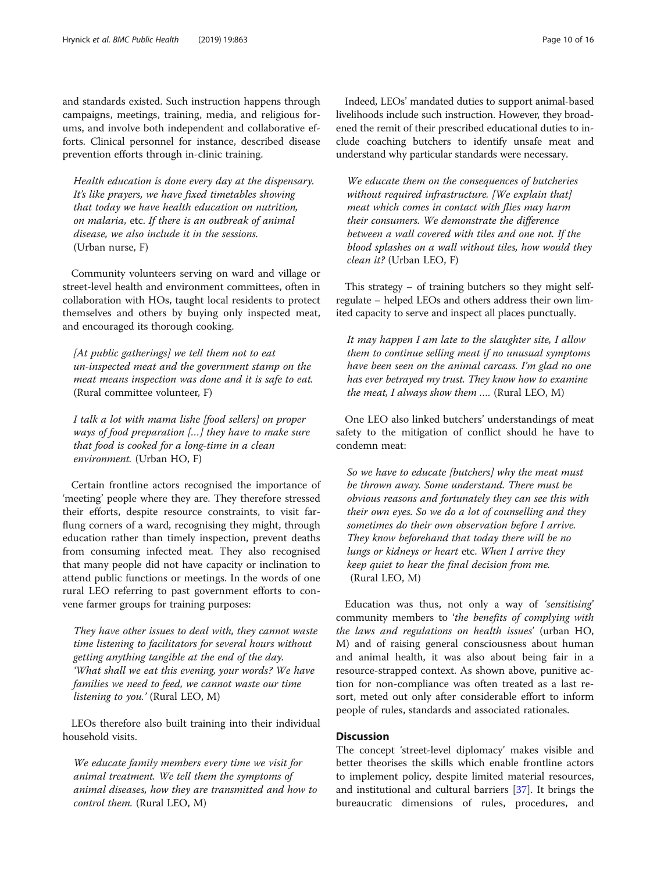and standards existed. Such instruction happens through campaigns, meetings, training, media, and religious forums, and involve both independent and collaborative efforts. Clinical personnel for instance, described disease prevention efforts through in-clinic training.

Health education is done every day at the dispensary. It's like prayers, we have fixed timetables showing that today we have health education on nutrition, on malaria, etc. If there is an outbreak of animal disease, we also include it in the sessions. (Urban nurse, F)

Community volunteers serving on ward and village or street-level health and environment committees, often in collaboration with HOs, taught local residents to protect themselves and others by buying only inspected meat, and encouraged its thorough cooking.

[At public gatherings] we tell them not to eat un-inspected meat and the government stamp on the meat means inspection was done and it is safe to eat. (Rural committee volunteer, F)

I talk a lot with mama lishe [food sellers] on proper ways of food preparation […] they have to make sure that food is cooked for a long-time in a clean environment. (Urban HO, F)

Certain frontline actors recognised the importance of 'meeting' people where they are. They therefore stressed their efforts, despite resource constraints, to visit farflung corners of a ward, recognising they might, through education rather than timely inspection, prevent deaths from consuming infected meat. They also recognised that many people did not have capacity or inclination to attend public functions or meetings. In the words of one rural LEO referring to past government efforts to convene farmer groups for training purposes:

They have other issues to deal with, they cannot waste time listening to facilitators for several hours without getting anything tangible at the end of the day. 'What shall we eat this evening, your words? We have families we need to feed, we cannot waste our time listening to you.' (Rural LEO, M)

LEOs therefore also built training into their individual household visits.

We educate family members every time we visit for animal treatment. We tell them the symptoms of animal diseases, how they are transmitted and how to control them. (Rural LEO, M)

Indeed, LEOs' mandated duties to support animal-based livelihoods include such instruction. However, they broadened the remit of their prescribed educational duties to include coaching butchers to identify unsafe meat and understand why particular standards were necessary.

We educate them on the consequences of butcheries without required infrastructure. [We explain that] meat which comes in contact with flies may harm their consumers. We demonstrate the difference between a wall covered with tiles and one not. If the blood splashes on a wall without tiles, how would they clean it? (Urban LEO, F)

This strategy – of training butchers so they might selfregulate – helped LEOs and others address their own limited capacity to serve and inspect all places punctually.

It may happen I am late to the slaughter site, I allow them to continue selling meat if no unusual symptoms have been seen on the animal carcass. I'm glad no one has ever betrayed my trust. They know how to examine the meat, I always show them  $\ldots$  (Rural LEO, M)

One LEO also linked butchers' understandings of meat safety to the mitigation of conflict should he have to condemn meat:

So we have to educate [butchers] why the meat must be thrown away. Some understand. There must be obvious reasons and fortunately they can see this with their own eyes. So we do a lot of counselling and they sometimes do their own observation before I arrive. They know beforehand that today there will be no lungs or kidneys or heart etc. When I arrive they keep quiet to hear the final decision from me. (Rural LEO, M)

Education was thus, not only a way of 'sensitising' community members to 'the benefits of complying with the laws and regulations on health issues' (urban HO, M) and of raising general consciousness about human and animal health, it was also about being fair in a resource-strapped context. As shown above, punitive action for non-compliance was often treated as a last resort, meted out only after considerable effort to inform people of rules, standards and associated rationales.

# **Discussion**

The concept 'street-level diplomacy' makes visible and better theorises the skills which enable frontline actors to implement policy, despite limited material resources, and institutional and cultural barriers [\[37\]](#page-14-0). It brings the bureaucratic dimensions of rules, procedures, and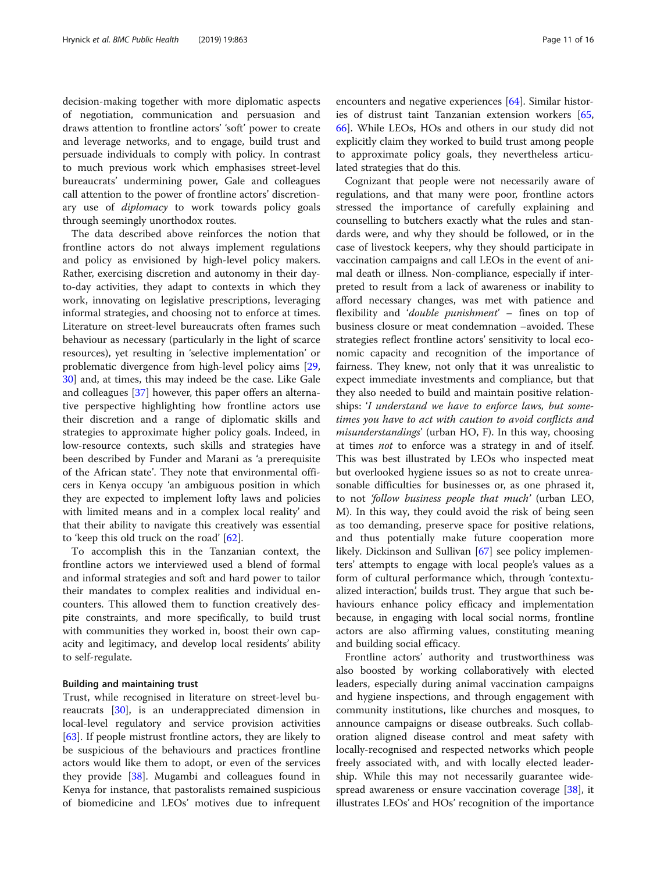decision-making together with more diplomatic aspects of negotiation, communication and persuasion and draws attention to frontline actors' 'soft' power to create and leverage networks, and to engage, build trust and persuade individuals to comply with policy. In contrast to much previous work which emphasises street-level bureaucrats' undermining power, Gale and colleagues call attention to the power of frontline actors' discretionary use of *diplomacy* to work towards policy goals through seemingly unorthodox routes.

The data described above reinforces the notion that frontline actors do not always implement regulations and policy as envisioned by high-level policy makers. Rather, exercising discretion and autonomy in their dayto-day activities, they adapt to contexts in which they work, innovating on legislative prescriptions, leveraging informal strategies, and choosing not to enforce at times. Literature on street-level bureaucrats often frames such behaviour as necessary (particularly in the light of scarce resources), yet resulting in 'selective implementation' or problematic divergence from high-level policy aims [[29](#page-14-0), [30\]](#page-14-0) and, at times, this may indeed be the case. Like Gale and colleagues [\[37](#page-14-0)] however, this paper offers an alternative perspective highlighting how frontline actors use their discretion and a range of diplomatic skills and strategies to approximate higher policy goals. Indeed, in low-resource contexts, such skills and strategies have been described by Funder and Marani as 'a prerequisite of the African state'. They note that environmental officers in Kenya occupy 'an ambiguous position in which they are expected to implement lofty laws and policies with limited means and in a complex local reality' and that their ability to navigate this creatively was essential to 'keep this old truck on the road' [\[62](#page-15-0)].

To accomplish this in the Tanzanian context, the frontline actors we interviewed used a blend of formal and informal strategies and soft and hard power to tailor their mandates to complex realities and individual encounters. This allowed them to function creatively despite constraints, and more specifically, to build trust with communities they worked in, boost their own capacity and legitimacy, and develop local residents' ability to self-regulate.

# Building and maintaining trust

Trust, while recognised in literature on street-level bureaucrats [[30\]](#page-14-0), is an underappreciated dimension in local-level regulatory and service provision activities [[63\]](#page-15-0). If people mistrust frontline actors, they are likely to be suspicious of the behaviours and practices frontline actors would like them to adopt, or even of the services they provide [\[38\]](#page-14-0). Mugambi and colleagues found in Kenya for instance, that pastoralists remained suspicious of biomedicine and LEOs' motives due to infrequent

encounters and negative experiences [\[64](#page-15-0)]. Similar histories of distrust taint Tanzanian extension workers [[65](#page-15-0), [66\]](#page-15-0). While LEOs, HOs and others in our study did not explicitly claim they worked to build trust among people to approximate policy goals, they nevertheless articulated strategies that do this.

Cognizant that people were not necessarily aware of regulations, and that many were poor, frontline actors stressed the importance of carefully explaining and counselling to butchers exactly what the rules and standards were, and why they should be followed, or in the case of livestock keepers, why they should participate in vaccination campaigns and call LEOs in the event of animal death or illness. Non-compliance, especially if interpreted to result from a lack of awareness or inability to afford necessary changes, was met with patience and flexibility and 'double punishment' – fines on top of business closure or meat condemnation –avoided. These strategies reflect frontline actors' sensitivity to local economic capacity and recognition of the importance of fairness. They knew, not only that it was unrealistic to expect immediate investments and compliance, but that they also needed to build and maintain positive relationships: 'I understand we have to enforce laws, but sometimes you have to act with caution to avoid conflicts and misunderstandings' (urban HO, F). In this way, choosing at times not to enforce was a strategy in and of itself. This was best illustrated by LEOs who inspected meat but overlooked hygiene issues so as not to create unreasonable difficulties for businesses or, as one phrased it, to not 'follow business people that much' (urban LEO, M). In this way, they could avoid the risk of being seen as too demanding, preserve space for positive relations, and thus potentially make future cooperation more likely. Dickinson and Sullivan [[67\]](#page-15-0) see policy implementers' attempts to engage with local people's values as a form of cultural performance which, through 'contextualized interaction', builds trust. They argue that such behaviours enhance policy efficacy and implementation because, in engaging with local social norms, frontline actors are also affirming values, constituting meaning and building social efficacy.

Frontline actors' authority and trustworthiness was also boosted by working collaboratively with elected leaders, especially during animal vaccination campaigns and hygiene inspections, and through engagement with community institutions, like churches and mosques, to announce campaigns or disease outbreaks. Such collaboration aligned disease control and meat safety with locally-recognised and respected networks which people freely associated with, and with locally elected leadership. While this may not necessarily guarantee widespread awareness or ensure vaccination coverage [\[38](#page-14-0)], it illustrates LEOs' and HOs' recognition of the importance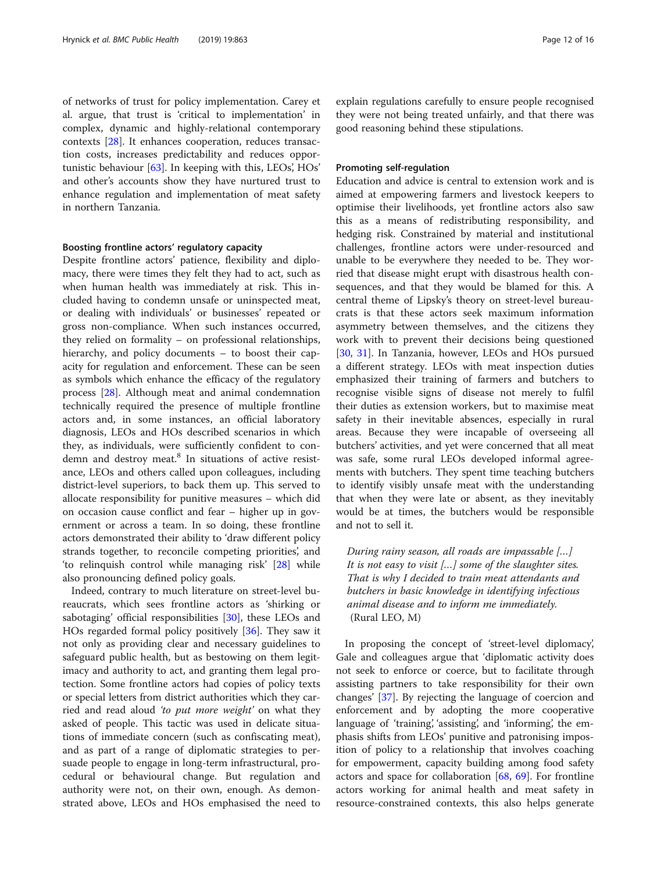of networks of trust for policy implementation. Carey et al. argue, that trust is 'critical to implementation' in complex, dynamic and highly-relational contemporary contexts [[28\]](#page-14-0). It enhances cooperation, reduces transaction costs, increases predictability and reduces opportunistic behaviour [\[63](#page-15-0)]. In keeping with this, LEOs', HOs' and other's accounts show they have nurtured trust to enhance regulation and implementation of meat safety in northern Tanzania.

# Boosting frontline actors' regulatory capacity

Despite frontline actors' patience, flexibility and diplomacy, there were times they felt they had to act, such as when human health was immediately at risk. This included having to condemn unsafe or uninspected meat, or dealing with individuals' or businesses' repeated or gross non-compliance. When such instances occurred, they relied on formality – on professional relationships, hierarchy, and policy documents – to boost their capacity for regulation and enforcement. These can be seen as symbols which enhance the efficacy of the regulatory process [\[28](#page-14-0)]. Although meat and animal condemnation technically required the presence of multiple frontline actors and, in some instances, an official laboratory diagnosis, LEOs and HOs described scenarios in which they, as individuals, were sufficiently confident to condemn and destroy meat.<sup>8</sup> In situations of active resistance, LEOs and others called upon colleagues, including district-level superiors, to back them up. This served to allocate responsibility for punitive measures – which did on occasion cause conflict and fear – higher up in government or across a team. In so doing, these frontline actors demonstrated their ability to 'draw different policy strands together, to reconcile competing priorities', and 'to relinquish control while managing risk' [[28](#page-14-0)] while also pronouncing defined policy goals.

Indeed, contrary to much literature on street-level bureaucrats, which sees frontline actors as 'shirking or sabotaging' official responsibilities [\[30\]](#page-14-0), these LEOs and HOs regarded formal policy positively [[36\]](#page-14-0). They saw it not only as providing clear and necessary guidelines to safeguard public health, but as bestowing on them legitimacy and authority to act, and granting them legal protection. Some frontline actors had copies of policy texts or special letters from district authorities which they carried and read aloud 'to put more weight' on what they asked of people. This tactic was used in delicate situations of immediate concern (such as confiscating meat), and as part of a range of diplomatic strategies to persuade people to engage in long-term infrastructural, procedural or behavioural change. But regulation and authority were not, on their own, enough. As demonstrated above, LEOs and HOs emphasised the need to explain regulations carefully to ensure people recognised they were not being treated unfairly, and that there was good reasoning behind these stipulations.

# Promoting self-regulation

Education and advice is central to extension work and is aimed at empowering farmers and livestock keepers to optimise their livelihoods, yet frontline actors also saw this as a means of redistributing responsibility, and hedging risk. Constrained by material and institutional challenges, frontline actors were under-resourced and unable to be everywhere they needed to be. They worried that disease might erupt with disastrous health consequences, and that they would be blamed for this. A central theme of Lipsky's theory on street-level bureaucrats is that these actors seek maximum information asymmetry between themselves, and the citizens they work with to prevent their decisions being questioned [[30,](#page-14-0) [31\]](#page-14-0). In Tanzania, however, LEOs and HOs pursued a different strategy. LEOs with meat inspection duties emphasized their training of farmers and butchers to recognise visible signs of disease not merely to fulfil their duties as extension workers, but to maximise meat safety in their inevitable absences, especially in rural areas. Because they were incapable of overseeing all butchers' activities, and yet were concerned that all meat was safe, some rural LEOs developed informal agreements with butchers. They spent time teaching butchers to identify visibly unsafe meat with the understanding that when they were late or absent, as they inevitably would be at times, the butchers would be responsible and not to sell it.

During rainy season, all roads are impassable […] It is not easy to visit […] some of the slaughter sites. That is why I decided to train meat attendants and butchers in basic knowledge in identifying infectious animal disease and to inform me immediately. (Rural LEO, M)

In proposing the concept of 'street-level diplomacy', Gale and colleagues argue that 'diplomatic activity does not seek to enforce or coerce, but to facilitate through assisting partners to take responsibility for their own changes' [[37\]](#page-14-0). By rejecting the language of coercion and enforcement and by adopting the more cooperative language of 'training', 'assisting', and 'informing', the emphasis shifts from LEOs' punitive and patronising imposition of policy to a relationship that involves coaching for empowerment, capacity building among food safety actors and space for collaboration  $[68, 69]$  $[68, 69]$  $[68, 69]$  $[68, 69]$ . For frontline actors working for animal health and meat safety in resource-constrained contexts, this also helps generate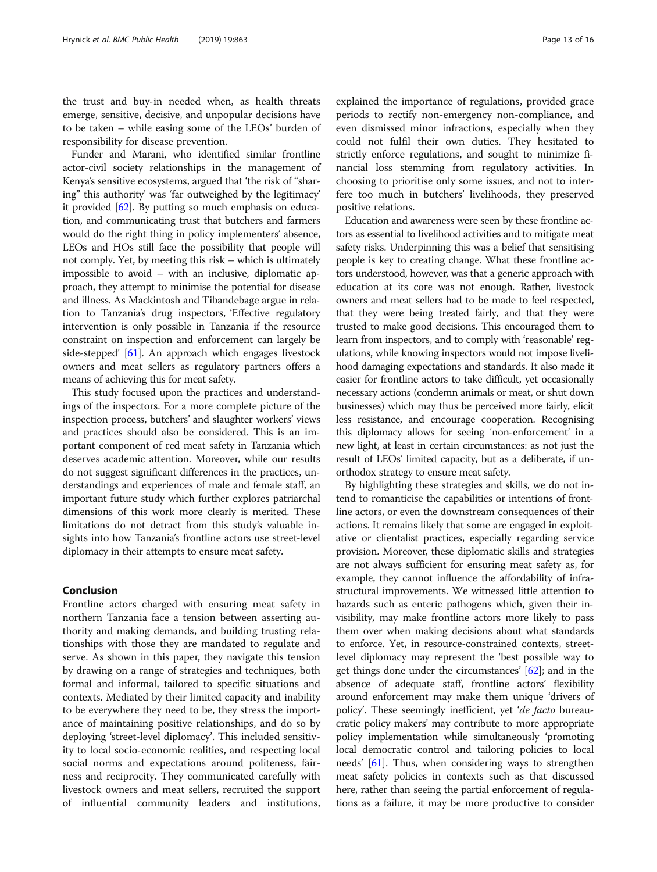the trust and buy-in needed when, as health threats emerge, sensitive, decisive, and unpopular decisions have to be taken – while easing some of the LEOs' burden of responsibility for disease prevention.

Funder and Marani, who identified similar frontline actor-civil society relationships in the management of Kenya's sensitive ecosystems, argued that 'the risk of "sharing" this authority' was 'far outweighed by the legitimacy' it provided [\[62\]](#page-15-0). By putting so much emphasis on education, and communicating trust that butchers and farmers would do the right thing in policy implementers' absence, LEOs and HOs still face the possibility that people will not comply. Yet, by meeting this risk – which is ultimately impossible to avoid – with an inclusive, diplomatic approach, they attempt to minimise the potential for disease and illness. As Mackintosh and Tibandebage argue in relation to Tanzania's drug inspectors, 'Effective regulatory intervention is only possible in Tanzania if the resource constraint on inspection and enforcement can largely be side-stepped' [[61](#page-15-0)]. An approach which engages livestock owners and meat sellers as regulatory partners offers a means of achieving this for meat safety.

This study focused upon the practices and understandings of the inspectors. For a more complete picture of the inspection process, butchers' and slaughter workers' views and practices should also be considered. This is an important component of red meat safety in Tanzania which deserves academic attention. Moreover, while our results do not suggest significant differences in the practices, understandings and experiences of male and female staff, an important future study which further explores patriarchal dimensions of this work more clearly is merited. These limitations do not detract from this study's valuable insights into how Tanzania's frontline actors use street-level diplomacy in their attempts to ensure meat safety.

# Conclusion

Frontline actors charged with ensuring meat safety in northern Tanzania face a tension between asserting authority and making demands, and building trusting relationships with those they are mandated to regulate and serve. As shown in this paper, they navigate this tension by drawing on a range of strategies and techniques, both formal and informal, tailored to specific situations and contexts. Mediated by their limited capacity and inability to be everywhere they need to be, they stress the importance of maintaining positive relationships, and do so by deploying 'street-level diplomacy'. This included sensitivity to local socio-economic realities, and respecting local social norms and expectations around politeness, fairness and reciprocity. They communicated carefully with livestock owners and meat sellers, recruited the support of influential community leaders and institutions,

explained the importance of regulations, provided grace periods to rectify non-emergency non-compliance, and even dismissed minor infractions, especially when they could not fulfil their own duties. They hesitated to strictly enforce regulations, and sought to minimize financial loss stemming from regulatory activities. In choosing to prioritise only some issues, and not to interfere too much in butchers' livelihoods, they preserved positive relations.

Education and awareness were seen by these frontline actors as essential to livelihood activities and to mitigate meat safety risks. Underpinning this was a belief that sensitising people is key to creating change. What these frontline actors understood, however, was that a generic approach with education at its core was not enough. Rather, livestock owners and meat sellers had to be made to feel respected, that they were being treated fairly, and that they were trusted to make good decisions. This encouraged them to learn from inspectors, and to comply with 'reasonable' regulations, while knowing inspectors would not impose livelihood damaging expectations and standards. It also made it easier for frontline actors to take difficult, yet occasionally necessary actions (condemn animals or meat, or shut down businesses) which may thus be perceived more fairly, elicit less resistance, and encourage cooperation. Recognising this diplomacy allows for seeing 'non-enforcement' in a new light, at least in certain circumstances: as not just the result of LEOs' limited capacity, but as a deliberate, if unorthodox strategy to ensure meat safety.

By highlighting these strategies and skills, we do not intend to romanticise the capabilities or intentions of frontline actors, or even the downstream consequences of their actions. It remains likely that some are engaged in exploitative or clientalist practices, especially regarding service provision. Moreover, these diplomatic skills and strategies are not always sufficient for ensuring meat safety as, for example, they cannot influence the affordability of infrastructural improvements. We witnessed little attention to hazards such as enteric pathogens which, given their invisibility, may make frontline actors more likely to pass them over when making decisions about what standards to enforce. Yet, in resource-constrained contexts, streetlevel diplomacy may represent the 'best possible way to get things done under the circumstances' [[62](#page-15-0)]; and in the absence of adequate staff, frontline actors' flexibility around enforcement may make them unique 'drivers of policy'. These seemingly inefficient, yet 'de facto bureaucratic policy makers' may contribute to more appropriate policy implementation while simultaneously 'promoting local democratic control and tailoring policies to local needs' [[61](#page-15-0)]. Thus, when considering ways to strengthen meat safety policies in contexts such as that discussed here, rather than seeing the partial enforcement of regulations as a failure, it may be more productive to consider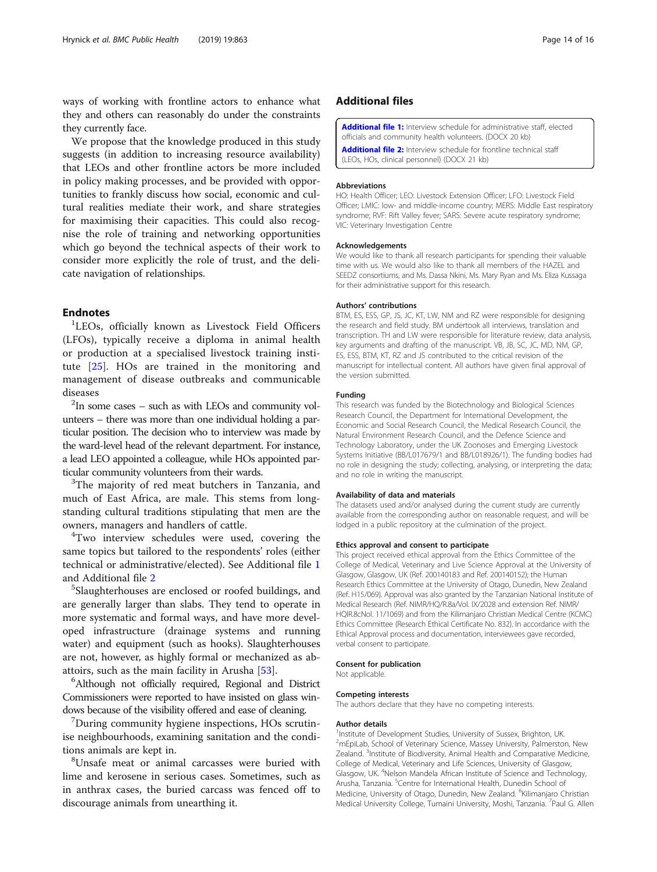ways of working with frontline actors to enhance what they and others can reasonably do under the constraints they currently face.

We propose that the knowledge produced in this study suggests (in addition to increasing resource availability) that LEOs and other frontline actors be more included in policy making processes, and be provided with opportunities to frankly discuss how social, economic and cultural realities mediate their work, and share strategies for maximising their capacities. This could also recognise the role of training and networking opportunities which go beyond the technical aspects of their work to consider more explicitly the role of trust, and the delicate navigation of relationships.

# **Endnotes**

<sup>1</sup>LEOs, officially known as Livestock Field Officers (LFOs), typically receive a diploma in animal health or production at a specialised livestock training institute [[25](#page-14-0)]. HOs are trained in the monitoring and management of disease outbreaks and communicable diseases <sup>2</sup>

 $2$ In some cases – such as with LEOs and community volunteers – there was more than one individual holding a particular position. The decision who to interview was made by the ward-level head of the relevant department. For instance, a lead LEO appointed a colleague, while HOs appointed particular community volunteers from their wards.

<sup>3</sup>The majority of red meat butchers in Tanzania, and much of East Africa, are male. This stems from longstanding cultural traditions stipulating that men are the owners, managers and handlers of cattle. <sup>4</sup>

<sup>4</sup>Two interview schedules were used, covering the same topics but tailored to the respondents' roles (either technical or administrative/elected). See Additional file 1 and Additional file 2

<sup>5</sup>Slaughterhouses are enclosed or roofed buildings, and are generally larger than slabs. They tend to operate in more systematic and formal ways, and have more developed infrastructure (drainage systems and running water) and equipment (such as hooks). Slaughterhouses are not, however, as highly formal or mechanized as abattoirs, such as the main facility in Arusha  $[53]$  $[53]$ .

Although not officially required, Regional and District Commissioners were reported to have insisted on glass windows because of the visibility offered and ease of cleaning. <sup>7</sup>

During community hygiene inspections, HOs scrutinise neighbourhoods, examining sanitation and the conditions animals are kept in. <sup>8</sup>

<sup>8</sup>Unsafe meat or animal carcasses were buried with lime and kerosene in serious cases. Sometimes, such as in anthrax cases, the buried carcass was fenced off to discourage animals from unearthing it.

# Additional files

[Additional file 1:](https://doi.org/10.1186/s12889-019-7067-8) Interview schedule for administrative staff, elected officials and community health volunteers. (DOCX 20 kb) [Additional file 2:](https://doi.org/10.1186/s12889-019-7067-8) Interview schedule for frontline technical staff

(LEOs, HOs, clinical personnel) (DOCX 21 kb)

#### Abbreviations

HO: Health Officer; LEO: Livestock Extension Officer; LFO: Livestock Field Officer; LMIC: low- and middle-income country; MERS: Middle East respiratory syndrome; RVF: Rift Valley fever; SARS: Severe acute respiratory syndrome; VIC: Veterinary Investigation Centre

#### Acknowledgements

We would like to thank all research participants for spending their valuable time with us. We would also like to thank all members of the HAZEL and SEEDZ consortiums, and Ms. Dassa Nkini, Ms. Mary Ryan and Ms. Eliza Kussaga for their administrative support for this research.

# Authors' contributions

BTM, ES, ESS, GP, JS, JC, KT, LW, NM and RZ were responsible for designing the research and field study. BM undertook all interviews, translation and transcription. TH and LW were responsible for literature review, data analysis, key arguments and drafting of the manuscript. VB, JB, SC, JC, MD, NM, GP, ES, ESS, BTM, KT, RZ and JS contributed to the critical revision of the manuscript for intellectual content. All authors have given final approval of the version submitted.

#### Funding

This research was funded by the Biotechnology and Biological Sciences Research Council, the Department for International Development, the Economic and Social Research Council, the Medical Research Council, the Natural Environment Research Council, and the Defence Science and Technology Laboratory, under the UK Zoonoses and Emerging Livestock Systems Initiative (BB/L017679/1 and BB/L018926/1). The funding bodies had no role in designing the study; collecting, analysing, or interpreting the data; and no role in writing the manuscript.

#### Availability of data and materials

The datasets used and/or analysed during the current study are currently available from the corresponding author on reasonable request, and will be lodged in a public repository at the culmination of the project.

#### Ethics approval and consent to participate

This project received ethical approval from the Ethics Committee of the College of Medical, Veterinary and Live Science Approval at the University of Glasgow, Glasgow, UK (Ref. 200140183 and Ref. 200140152); the Human Research Ethics Committee at the University of Otago, Dunedin, New Zealand (Ref. H15/069). Approval was also granted by the Tanzanian National Institute of Medical Research (Ref. NIMR/HQ/R.8a/Vol. IX/2028 and extension Ref. NIMR/ HQIR.8cNol. 11/1069) and from the Kilimanjaro Christian Medical Centre (KCMC) Ethics Committee (Research Ethical Certificate No. 832). In accordance with the Ethical Approval process and documentation, interviewees gave recorded, verbal consent to participate.

#### Consent for publication

Not applicable.

#### Competing interests

The authors declare that they have no competing interests.

#### Author details

<sup>1</sup>Institute of Development Studies, University of Sussex, Brighton, UK <sup>2</sup>mEpiLab, School of Veterinary Science, Massey University, Palmerston, New Zealand. <sup>3</sup>Institute of Biodiversity, Animal Health and Comparative Medicine, College of Medical, Veterinary and Life Sciences, University of Glasgow, Glasgow, UK. <sup>4</sup>Nelson Mandela African Institute of Science and Technology, Arusha, Tanzania. <sup>5</sup>Centre for International Health, Dunedin School of Medicine, University of Otago, Dunedin, New Zealand. <sup>6</sup>Kilimanjaro Christian Medical University College, Tumaini University, Moshi, Tanzania. <sup>7</sup>Paul G. Allen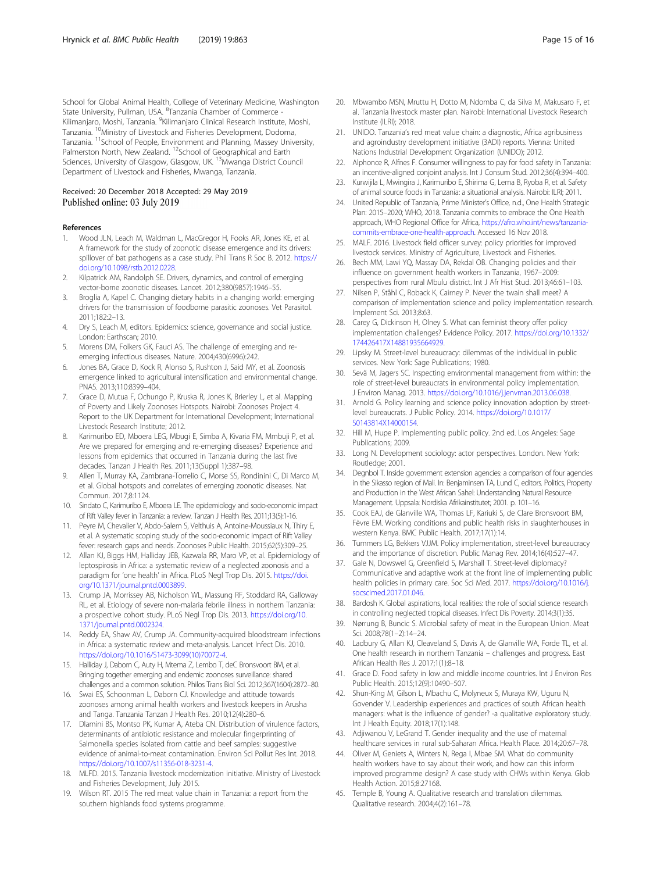<span id="page-14-0"></span>School for Global Animal Health, College of Veterinary Medicine, Washington State University, Pullman, USA. <sup>8</sup>Tanzania Chamber of Commerce -Kilimanjaro, Moshi, Tanzania. <sup>9</sup>Kilimanjaro Clinical Research Institute, Moshi, Tanzania. 10Ministry of Livestock and Fisheries Development, Dodoma, Tanzania. 11School of People, Environment and Planning, Massey University, Palmerston North, New Zealand. <sup>12</sup>School of Geographical and Earth Sciences, University of Glasgow, Glasgow, UK. 13Mwanga District Council Department of Livestock and Fisheries, Mwanga, Tanzania.

# Received: 20 December 2018 Accepted: 29 May 2019 Published online: 03 July 2019

# **References**

- Wood JLN, Leach M, Waldman L, MacGregor H, Fooks AR, Jones KE, et al. A framework for the study of zoonotic disease emergence and its drivers: spillover of bat pathogens as a case study. Phil Trans R Soc B. 2012. [https://](https://doi.org/10.1098/rstb.2012.0228) [doi.org/10.1098/rstb.2012.0228.](https://doi.org/10.1098/rstb.2012.0228)
- 2. Kilpatrick AM, Randolph SE. Drivers, dynamics, and control of emerging vector-borne zoonotic diseases. Lancet. 2012;380(9857):1946–55.
- 3. Broglia A, Kapel C. Changing dietary habits in a changing world: emerging drivers for the transmission of foodborne parasitic zoonoses. Vet Parasitol. 2011;182:2–13.
- 4. Dry S, Leach M, editors. Epidemics: science, governance and social justice. London: Earthscan; 2010.
- 5. Morens DM, Folkers GK, Fauci AS. The challenge of emerging and reemerging infectious diseases. Nature. 2004;430(6996):242.
- 6. Jones BA, Grace D, Kock R, Alonso S, Rushton J, Said MY, et al. Zoonosis emergence linked to agricultural intensification and environmental change. PNAS. 2013;110:8399–404.
- 7. Grace D, Mutua F, Ochungo P, Kruska R, Jones K, Brierley L, et al. Mapping of Poverty and Likely Zoonoses Hotspots. Nairobi: Zoonoses Project 4. Report to the UK Department for International Development; International Livestock Research Institute; 2012.
- Karimuribo ED, Mboera LEG, Mbugi E, Simba A, Kivaria FM, Mmbuji P, et al. Are we prepared for emerging and re-emerging diseases? Experience and lessons from epidemics that occurred in Tanzania during the last five decades. Tanzan J Health Res. 2011;13(Suppl 1):387–98.
- 9. Allen T, Murray KA, Zambrana-Torrelio C, Morse SS, Rondinini C, Di Marco M, et al. Global hotspots and correlates of emerging zoonotic diseases. Nat Commun. 2017;8:1124.
- 10. Sindato C, Karimuribo E, Mboera LE. The epidemiology and socio-economic impact of Rift Valley fever in Tanzania: a review. Tanzan J Health Res. 2011;13(5):1-16.
- 11. Peyre M, Chevalier V, Abdo-Salem S, Velthuis A, Antoine-Moussiaux N, Thiry E, et al. A systematic scoping study of the socio-economic impact of Rift Valley fever: research gaps and needs. Zoonoses Public Health. 2015;62(5):309–25.
- 12. Allan KJ, Biggs HM, Halliday JEB, Kazwala RR, Maro VP, et al. Epidemiology of leptospirosis in Africa: a systematic review of a neglected zoonosis and a paradigm for 'one health' in Africa. PLoS Negl Trop Dis. 2015. [https://doi.](https://doi.org/10.1371/journal.pntd.0003899) [org/10.1371/journal.pntd.0003899](https://doi.org/10.1371/journal.pntd.0003899).
- 13. Crump JA, Morrissey AB, Nicholson WL, Massung RF, Stoddard RA, Galloway RL, et al. Etiology of severe non-malaria febrile illness in northern Tanzania: a prospective cohort study. PLoS Negl Trop Dis. 2013. [https://doi.org/10.](https://doi.org/10.1371/journal.pntd.0002324) [1371/journal.pntd.0002324](https://doi.org/10.1371/journal.pntd.0002324).
- 14. Reddy EA, Shaw AV, Crump JA. Community-acquired bloodstream infections in Africa: a systematic review and meta-analysis. Lancet Infect Dis. 2010. [https://doi.org/10.1016/S1473-3099\(10\)70072-4.](https://doi.org/10.1016/S1473-3099(10)70072-4)
- 15. Halliday J, Daborn C, Auty H, Mtema Z, Lembo T, deC Bronsvoort BM, et al. Bringing together emerging and endemic zoonoses surveillance: shared challenges and a common solution. Philos Trans Biol Sci. 2012;367(1604):2872–80.
- 16. Swai ES, Schoonman L, Daborn CJ. Knowledge and attitude towards zoonoses among animal health workers and livestock keepers in Arusha and Tanga. Tanzania Tanzan J Health Res. 2010;12(4):280–6.
- 17. Dlamini BS, Montso PK, Kumar A, Ateba CN. Distribution of virulence factors, determinants of antibiotic resistance and molecular fingerprinting of Salmonella species isolated from cattle and beef samples: suggestive evidence of animal-to-meat contamination. Environ Sci Pollut Res Int. 2018. <https://doi.org/10.1007/s11356-018-3231-4>.
- 18. MLFD. 2015. Tanzania livestock modernization initiative. Ministry of Livestock and Fisheries Development, July 2015.
- 19. Wilson RT. 2015 The red meat value chain in Tanzania: a report from the southern highlands food systems programme.
- 20. Mbwambo MSN, Mruttu H, Dotto M, Ndomba C, da Silva M, Makusaro F, et al. Tanzania livestock master plan. Nairobi: International Livestock Research Institute (ILRI); 2018.
- 21. UNIDO. Tanzania's red meat value chain: a diagnostic, Africa agribusiness and agroindustry development initiative (3ADI) reports. Vienna: United Nations Industrial Development Organization (UNIDO); 2012.
- 22. Alphonce R, Alfnes F. Consumer willingness to pay for food safety in Tanzania: an incentive-aligned conjoint analysis. Int J Consum Stud. 2012;36(4):394–400.
- 23. Kurwijila L, Mwingira J, Karimuribo E, Shirima G, Lema B, Ryoba R, et al. Safety of animal source foods in Tanzania: a situational analysis. Nairobi: ILRI; 2011.
- 24. United Republic of Tanzania, Prime Minister's Office, n.d., One Health Strategic Plan: 2015–2020; WHO, 2018. Tanzania commits to embrace the One Health approach, WHO Regional Office for Africa, [https://afro.who.int/news/tanzania](https://afro.who.int/news/tanzania-commits-embrace-one-health-approach)[commits-embrace-one-health-approach](https://afro.who.int/news/tanzania-commits-embrace-one-health-approach). Accessed 16 Nov 2018.
- 25. MALF. 2016. Livestock field officer survey: policy priorities for improved livestock services. Ministry of Agriculture, Livestock and Fisheries.
- 26. Bech MM, Lawi YQ, Massay DA, Rekdal OB. Changing policies and their influence on government health workers in Tanzania, 1967–2009: perspectives from rural Mbulu district. Int J Afr Hist Stud. 2013;46:61–103.
- 27. Nilsen P, Ståhl C, Roback K, Cairney P. Never the twain shall meet? A comparison of implementation science and policy implementation research. Implement Sci. 2013;8:63.
- 28. Carey G, Dickinson H, Olney S. What can feminist theory offer policy implementation challenges? Evidence Policy. 2017. [https://doi.org/10.1332/](https://doi.org/10.1332/174426417X14881935664929) [174426417X14881935664929](https://doi.org/10.1332/174426417X14881935664929).
- 29. Lipsky M. Street-level bureaucracy: dilemmas of the individual in public services. New York: Sage Publications; 1980.
- 30. Sevä M, Jagers SC. Inspecting environmental management from within: the role of street-level bureaucrats in environmental policy implementation. J Environ Manag. 2013. <https://doi.org/10.1016/j.jenvman.2013.06.038>.
- 31. Arnold G. Policy learning and science policy innovation adoption by streetlevel bureaucrats. J Public Policy. 2014. [https://doi.org/10.1017/](https://doi.org/10.1017/S0143814X14000154) [S0143814X14000154](https://doi.org/10.1017/S0143814X14000154).
- 32. Hill M, Hupe P. Implementing public policy. 2nd ed. Los Angeles: Sage Publications; 2009.
- 33. Long N. Development sociology: actor perspectives. London. New York: Routledge; 2001.
- 34. Degnbol T. Inside government extension agencies: a comparison of four agencies in the Sikasso region of Mali. In: Benjaminsen TA, Lund C, editors. Politics, Property and Production in the West African Sahel: Understanding Natural Resource Management. Uppsala: Nordiska Afrikainstitutet; 2001. p. 101–16.
- 35. Cook EAJ, de Glanville WA, Thomas LF, Kariuki S, de Clare Bronsvoort BM, Fèvre EM. Working conditions and public health risks in slaughterhouses in western Kenya. BMC Public Health. 2017;17(1):14.
- 36. Tummers LG, Bekkers VJJM. Policy implementation, street-level bureaucracy and the importance of discretion. Public Manag Rev. 2014;16(4):527–47.
- Gale N, Dowswel G, Greenfield S, Marshall T. Street-level diplomacy? Communicative and adaptive work at the front line of implementing public health policies in primary care. Soc Sci Med. 2017. [https://doi.org/10.1016/j.](https://doi.org/10.1016/j.socscimed.2017.01.046) [socscimed.2017.01.046.](https://doi.org/10.1016/j.socscimed.2017.01.046)
- 38. Bardosh K. Global aspirations, local realities: the role of social science research in controlling neglected tropical diseases. Infect Dis Poverty. 2014;3(1):35.
- 39. Nørrung B, Buncic S. Microbial safety of meat in the European Union. Meat Sci. 2008;78(1–2):14–24.
- 40. Ladbury G, Allan KJ, Cleaveland S, Davis A, de Glanville WA, Forde TL, et al. One health research in northern Tanzania – challenges and progress. East African Health Res J. 2017;1(1):8–18.
- 41. Grace D. Food safety in low and middle income countries. Int J Environ Res Public Health. 2015;12(9):10490–507.
- 42. Shun-King M, Gilson L, Mbachu C, Molyneux S, Muraya KW, Uguru N, Govender V. Leadership experiences and practices of south African health managers: what is the influence of gender? -a qualitative exploratory study. Int J Health Equity. 2018;17(1):148.
- 43. Adjiwanou V, LeGrand T. Gender inequality and the use of maternal healthcare services in rural sub-Saharan Africa. Health Place. 2014;20:67–78.
- 44. Oliver M, Geniets A, Winters N, Rega I, Mbae SM. What do community health workers have to say about their work, and how can this inform improved programme design? A case study with CHWs within Kenya. Glob Health Action. 2015;8:27168.
- 45. Temple B, Young A. Qualitative research and translation dilemmas. Qualitative research. 2004;4(2):161–78.